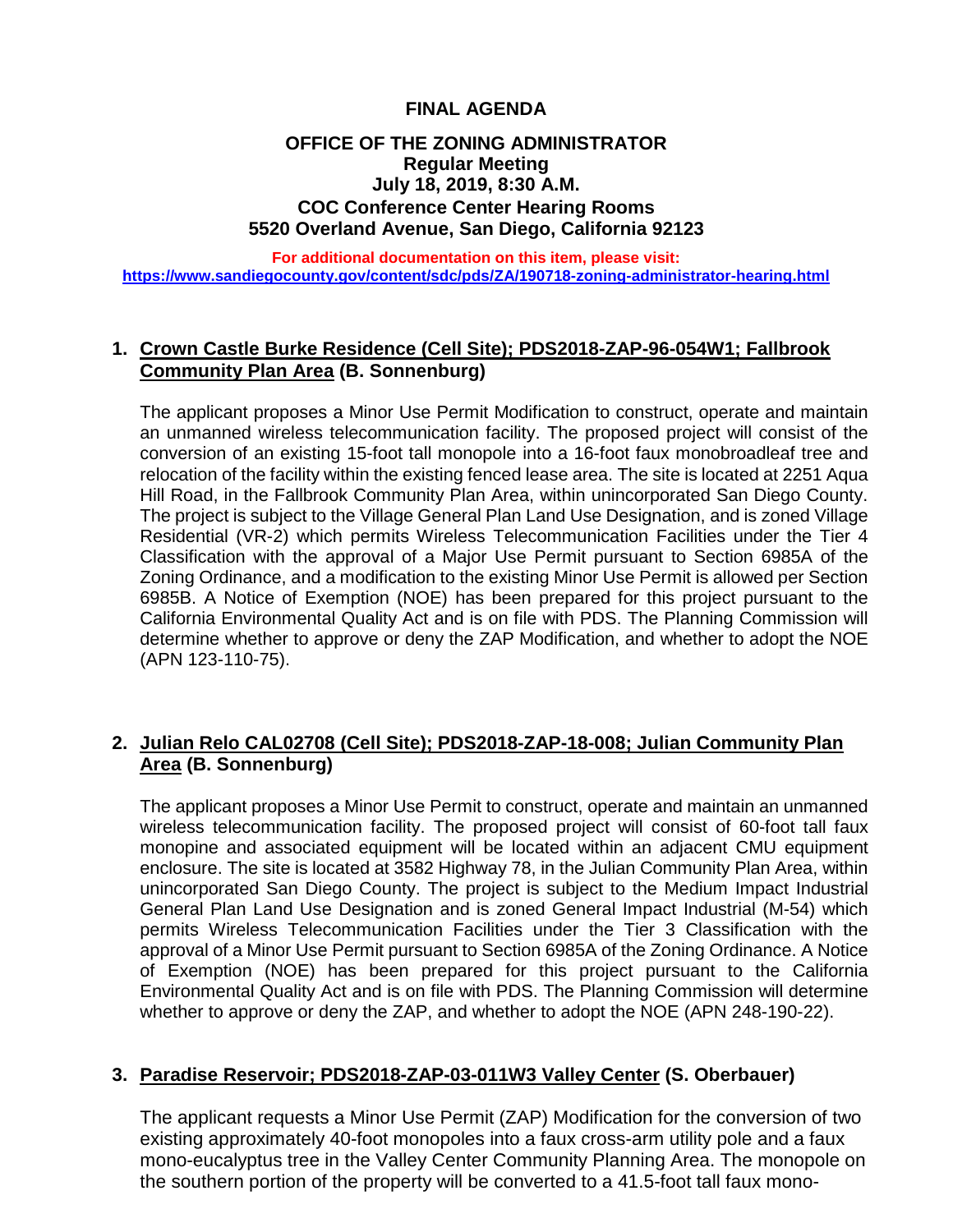# **FINAL AGENDA**

### **OFFICE OF THE ZONING ADMINISTRATOR Regular Meeting July 18, 2019, 8:30 A.M. COC Conference Center Hearing Rooms 5520 Overland Avenue, San Diego, California 92123**

**For additional documentation on this item, please visit: <https://www.sandiegocounty.gov/content/sdc/pds/ZA/190718-zoning-administrator-hearing.html>**

#### **1. Crown Castle Burke Residence (Cell Site); PDS2018-ZAP-96-054W1; Fallbrook Community Plan Area (B. Sonnenburg)**

The applicant proposes a Minor Use Permit Modification to construct, operate and maintain an unmanned wireless telecommunication facility. The proposed project will consist of the conversion of an existing 15-foot tall monopole into a 16-foot faux monobroadleaf tree and relocation of the facility within the existing fenced lease area. The site is located at 2251 Aqua Hill Road, in the Fallbrook Community Plan Area, within unincorporated San Diego County. The project is subject to the Village General Plan Land Use Designation, and is zoned Village Residential (VR-2) which permits Wireless Telecommunication Facilities under the Tier 4 Classification with the approval of a Major Use Permit pursuant to Section 6985A of the Zoning Ordinance, and a modification to the existing Minor Use Permit is allowed per Section 6985B. A Notice of Exemption (NOE) has been prepared for this project pursuant to the California Environmental Quality Act and is on file with PDS. The Planning Commission will determine whether to approve or deny the ZAP Modification, and whether to adopt the NOE (APN 123-110-75).

# **2. Julian Relo CAL02708 (Cell Site); PDS2018-ZAP-18-008; Julian Community Plan Area (B. Sonnenburg)**

The applicant proposes a Minor Use Permit to construct, operate and maintain an unmanned wireless telecommunication facility. The proposed project will consist of 60-foot tall faux monopine and associated equipment will be located within an adjacent CMU equipment enclosure. The site is located at 3582 Highway 78, in the Julian Community Plan Area, within unincorporated San Diego County. The project is subject to the Medium Impact Industrial General Plan Land Use Designation and is zoned General Impact Industrial (M-54) which permits Wireless Telecommunication Facilities under the Tier 3 Classification with the approval of a Minor Use Permit pursuant to Section 6985A of the Zoning Ordinance. A Notice of Exemption (NOE) has been prepared for this project pursuant to the California Environmental Quality Act and is on file with PDS. The Planning Commission will determine whether to approve or deny the ZAP, and whether to adopt the NOE (APN 248-190-22).

### **3. Paradise Reservoir; PDS2018-ZAP-03-011W3 Valley Center (S. Oberbauer)**

The applicant requests a Minor Use Permit (ZAP) Modification for the conversion of two existing approximately 40-foot monopoles into a faux cross-arm utility pole and a faux mono-eucalyptus tree in the Valley Center Community Planning Area. The monopole on the southern portion of the property will be converted to a 41.5-foot tall faux mono-